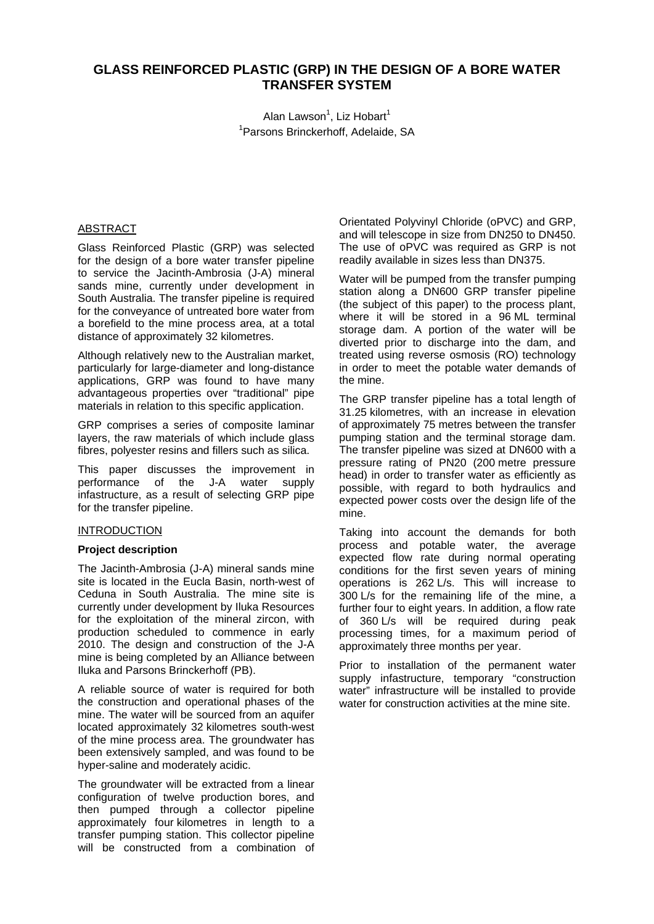# **GLASS REINFORCED PLASTIC (GRP) IN THE DESIGN OF A BORE WATER TRANSFER SYSTEM**

Alan Lawson<sup>1</sup>, Liz Hobart<sup>1</sup> 1 Parsons Brinckerhoff, Adelaide, SA

### ABSTRACT

Glass Reinforced Plastic (GRP) was selected for the design of a bore water transfer pipeline to service the Jacinth-Ambrosia (J-A) mineral sands mine, currently under development in South Australia. The transfer pipeline is required for the conveyance of untreated bore water from a borefield to the mine process area, at a total distance of approximately 32 kilometres.

Although relatively new to the Australian market, particularly for large-diameter and long-distance applications, GRP was found to have many advantageous properties over "traditional" pipe materials in relation to this specific application.

GRP comprises a series of composite laminar layers, the raw materials of which include glass fibres, polyester resins and fillers such as silica.

This paper discusses the improvement in performance of the J-A water supply infastructure, as a result of selecting GRP pipe for the transfer pipeline.

#### **INTRODUCTION**

#### **Project description**

The Jacinth-Ambrosia (J-A) mineral sands mine site is located in the Eucla Basin, north-west of Ceduna in South Australia. The mine site is currently under development by Iluka Resources for the exploitation of the mineral zircon, with production scheduled to commence in early 2010. The design and construction of the J-A mine is being completed by an Alliance between Iluka and Parsons Brinckerhoff (PB).

A reliable source of water is required for both the construction and operational phases of the mine. The water will be sourced from an aquifer located approximately 32 kilometres south-west of the mine process area. The groundwater has been extensively sampled, and was found to be hyper-saline and moderately acidic.

The groundwater will be extracted from a linear configuration of twelve production bores, and then pumped through a collector pipeline approximately four kilometres in length to a transfer pumping station. This collector pipeline will be constructed from a combination of

Orientated Polyvinyl Chloride (oPVC) and GRP, and will telescope in size from DN250 to DN450. The use of oPVC was required as GRP is not readily available in sizes less than DN375.

Water will be pumped from the transfer pumping station along a DN600 GRP transfer pipeline (the subject of this paper) to the process plant, where it will be stored in a 96 ML terminal storage dam. A portion of the water will be diverted prior to discharge into the dam, and treated using reverse osmosis (RO) technology in order to meet the potable water demands of the mine.

The GRP transfer pipeline has a total length of 31.25 kilometres, with an increase in elevation of approximately 75 metres between the transfer pumping station and the terminal storage dam. The transfer pipeline was sized at DN600 with a pressure rating of PN20 (200 metre pressure head) in order to transfer water as efficiently as possible, with regard to both hydraulics and expected power costs over the design life of the mine.

Taking into account the demands for both process and potable water, the average expected flow rate during normal operating conditions for the first seven years of mining operations is 262 L/s. This will increase to 300 L/s for the remaining life of the mine, a further four to eight years. In addition, a flow rate of 360 L/s will be required during peak processing times, for a maximum period of approximately three months per year.

Prior to installation of the permanent water supply infastructure, temporary "construction water" infrastructure will be installed to provide water for construction activities at the mine site.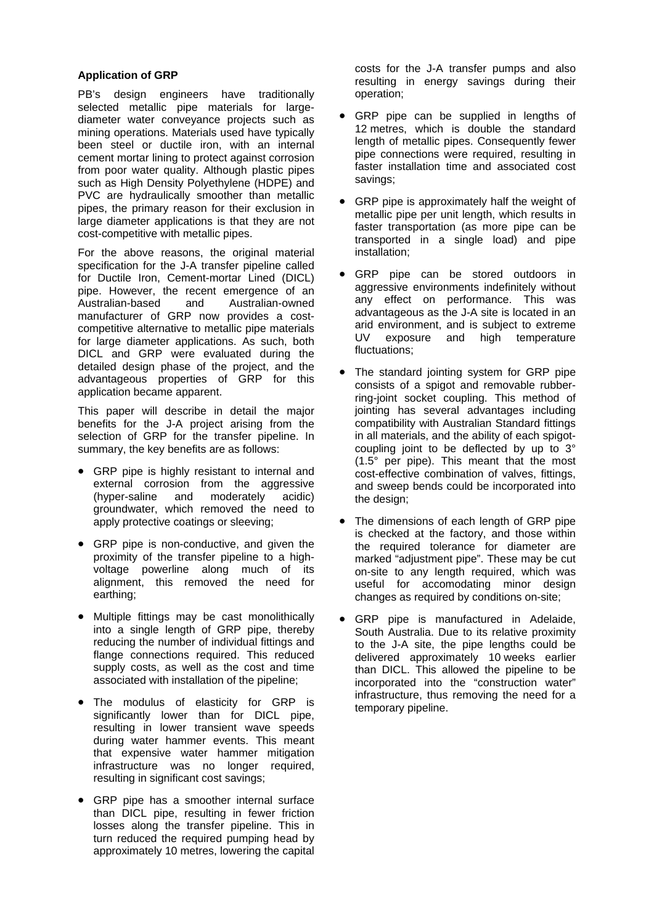### **Application of GRP**

PB's design engineers have traditionally selected metallic pipe materials for largediameter water conveyance projects such as mining operations. Materials used have typically been steel or ductile iron, with an internal cement mortar lining to protect against corrosion from poor water quality. Although plastic pipes such as High Density Polyethylene (HDPE) and PVC are hydraulically smoother than metallic pipes, the primary reason for their exclusion in large diameter applications is that they are not cost-competitive with metallic pipes.

For the above reasons, the original material specification for the J-A transfer pipeline called for Ductile Iron, Cement-mortar Lined (DICL) pipe. However, the recent emergence of an Australian-based and Australian-owned manufacturer of GRP now provides a costcompetitive alternative to metallic pipe materials for large diameter applications. As such, both DICL and GRP were evaluated during the detailed design phase of the project, and the advantageous properties of GRP for this application became apparent.

This paper will describe in detail the major benefits for the J-A project arising from the selection of GRP for the transfer pipeline. In summary, the key benefits are as follows:

- GRP pipe is highly resistant to internal and external corrosion from the aggressive (hyper-saline and moderately acidic) groundwater, which removed the need to apply protective coatings or sleeving;
- GRP pipe is non-conductive, and given the proximity of the transfer pipeline to a highvoltage powerline along much of its alignment, this removed the need for earthing;
- Multiple fittings may be cast monolithically into a single length of GRP pipe, thereby reducing the number of individual fittings and flange connections required. This reduced supply costs, as well as the cost and time associated with installation of the pipeline;
- The modulus of elasticity for GRP is significantly lower than for DICL pipe, resulting in lower transient wave speeds during water hammer events. This meant that expensive water hammer mitigation infrastructure was no longer required, resulting in significant cost savings;
- GRP pipe has a smoother internal surface than DICL pipe, resulting in fewer friction losses along the transfer pipeline. This in turn reduced the required pumping head by approximately 10 metres, lowering the capital

costs for the J-A transfer pumps and also resulting in energy savings during their operation;

- GRP pipe can be supplied in lengths of 12 metres, which is double the standard length of metallic pipes. Consequently fewer pipe connections were required, resulting in faster installation time and associated cost savings;
- GRP pipe is approximately half the weight of metallic pipe per unit length, which results in faster transportation (as more pipe can be transported in a single load) and pipe installation;
- GRP pipe can be stored outdoors in aggressive environments indefinitely without any effect on performance. This was advantageous as the J-A site is located in an arid environment, and is subject to extreme UV exposure and high temperature fluctuations;
- The standard jointing system for GRP pipe consists of a spigot and removable rubberring-joint socket coupling. This method of jointing has several advantages including compatibility with Australian Standard fittings in all materials, and the ability of each spigotcoupling joint to be deflected by up to 3° (1.5° per pipe). This meant that the most cost-effective combination of valves, fittings, and sweep bends could be incorporated into the design;
- The dimensions of each length of GRP pipe is checked at the factory, and those within the required tolerance for diameter are marked "adjustment pipe". These may be cut on-site to any length required, which was useful for accomodating minor design changes as required by conditions on-site;
- GRP pipe is manufactured in Adelaide, South Australia. Due to its relative proximity to the J-A site, the pipe lengths could be delivered approximately 10 weeks earlier than DICL. This allowed the pipeline to be incorporated into the "construction water" infrastructure, thus removing the need for a temporary pipeline.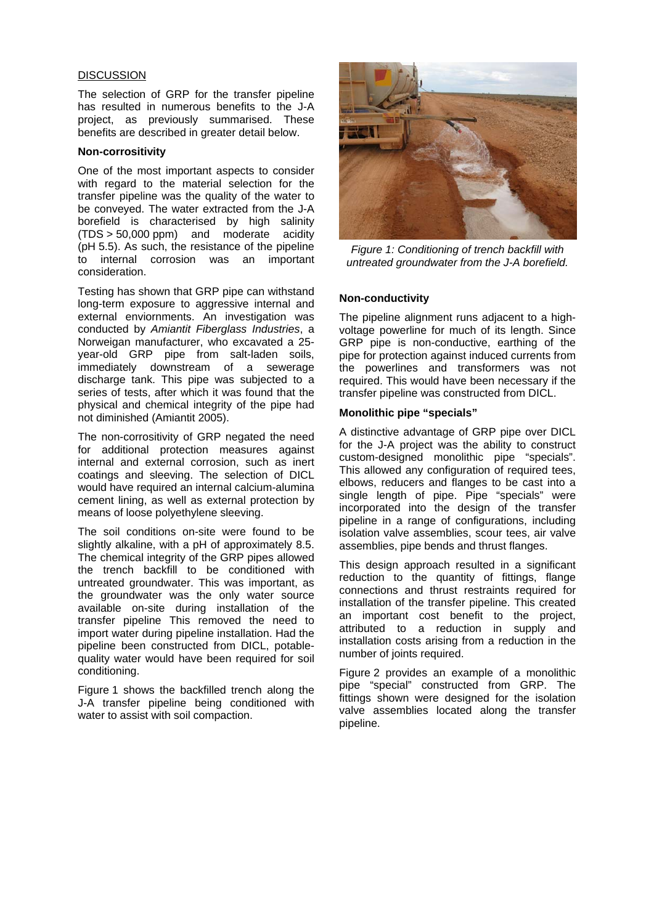#### **DISCUSSION**

The selection of GRP for the transfer pipeline has resulted in numerous benefits to the J-A project, as previously summarised. These benefits are described in greater detail below.

### **Non-corrositivity**

One of the most important aspects to consider with regard to the material selection for the transfer pipeline was the quality of the water to be conveyed. The water extracted from the J-A borefield is characterised by high salinity (TDS > 50,000 ppm) and moderate acidity (pH 5.5). As such, the resistance of the pipeline to internal corrosion was an important consideration.

Testing has shown that GRP pipe can withstand long-term exposure to aggressive internal and external enviornments. An investigation was conducted by *Amiantit Fiberglass Industries*, a Norweigan manufacturer, who excavated a 25 year-old GRP pipe from salt-laden soils, immediately downstream of a sewerage discharge tank. This pipe was subjected to a series of tests, after which it was found that the physical and chemical integrity of the pipe had not diminished (Amiantit 2005).

The non-corrositivity of GRP negated the need for additional protection measures against internal and external corrosion, such as inert coatings and sleeving. The selection of DICL would have required an internal calcium-alumina cement lining, as well as external protection by means of loose polyethylene sleeving.

The soil conditions on-site were found to be slightly alkaline, with a pH of approximately 8.5. The chemical integrity of the GRP pipes allowed the trench backfill to be conditioned with untreated groundwater. This was important, as the groundwater was the only water source available on-site during installation of the transfer pipeline This removed the need to import water during pipeline installation. Had the pipeline been constructed from DICL, potablequality water would have been required for soil conditioning.

Figure 1 shows the backfilled trench along the J-A transfer pipeline being conditioned with water to assist with soil compaction.



*Figure 1: Conditioning of trench backfill with untreated groundwater from the J-A borefield.* 

#### **Non-conductivity**

The pipeline alignment runs adjacent to a highvoltage powerline for much of its length. Since GRP pipe is non-conductive, earthing of the pipe for protection against induced currents from the powerlines and transformers was not required. This would have been necessary if the transfer pipeline was constructed from DICL.

#### **Monolithic pipe "specials"**

A distinctive advantage of GRP pipe over DICL for the J-A project was the ability to construct custom-designed monolithic pipe "specials". This allowed any configuration of required tees, elbows, reducers and flanges to be cast into a single length of pipe. Pipe "specials" were incorporated into the design of the transfer pipeline in a range of configurations, including isolation valve assemblies, scour tees, air valve assemblies, pipe bends and thrust flanges.

This design approach resulted in a significant reduction to the quantity of fittings, flange connections and thrust restraints required for installation of the transfer pipeline. This created an important cost benefit to the project, attributed to a reduction in supply and installation costs arising from a reduction in the number of joints required.

Figure 2 provides an example of a monolithic pipe "special" constructed from GRP. The fittings shown were designed for the isolation valve assemblies located along the transfer pipeline.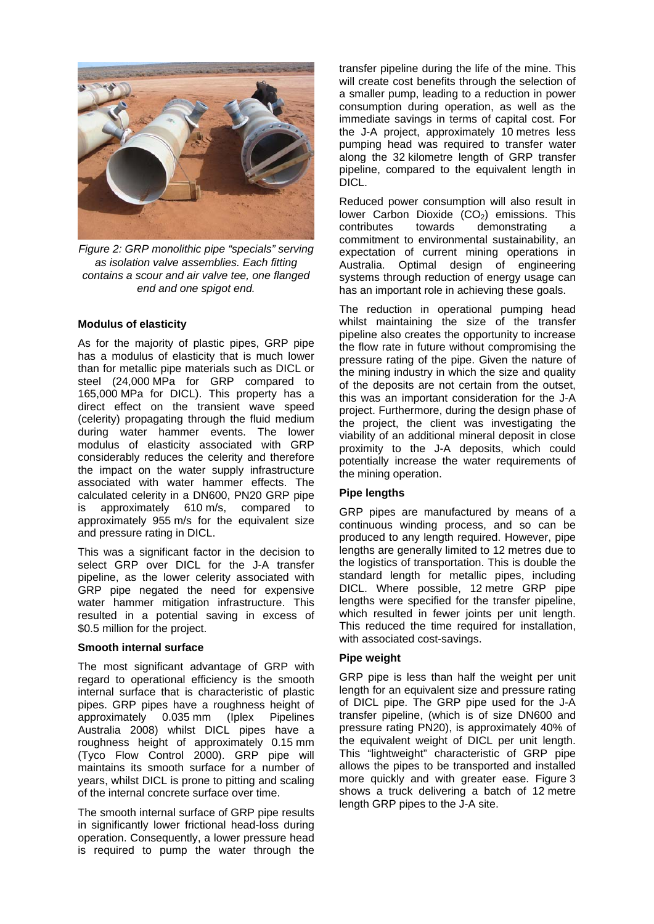

*Figure 2: GRP monolithic pipe "specials" serving as isolation valve assemblies. Each fitting contains a scour and air valve tee, one flanged end and one spigot end.* 

### **Modulus of elasticity**

As for the majority of plastic pipes, GRP pipe has a modulus of elasticity that is much lower than for metallic pipe materials such as DICL or steel (24,000 MPa for GRP compared to 165,000 MPa for DICL). This property has a direct effect on the transient wave speed (celerity) propagating through the fluid medium during water hammer events. The lower modulus of elasticity associated with GRP considerably reduces the celerity and therefore the impact on the water supply infrastructure associated with water hammer effects. The calculated celerity in a DN600, PN20 GRP pipe is approximately 610 m/s, compared to approximately 955 m/s for the equivalent size and pressure rating in DICL.

This was a significant factor in the decision to select GRP over DICL for the J-A transfer pipeline, as the lower celerity associated with GRP pipe negated the need for expensive water hammer mitigation infrastructure. This resulted in a potential saving in excess of \$0.5 million for the project.

#### **Smooth internal surface**

The most significant advantage of GRP with regard to operational efficiency is the smooth internal surface that is characteristic of plastic pipes. GRP pipes have a roughness height of approximately 0.035 mm (Iplex Pipelines Australia 2008) whilst DICL pipes have a roughness height of approximately 0.15 mm (Tyco Flow Control 2000). GRP pipe will maintains its smooth surface for a number of years, whilst DICL is prone to pitting and scaling of the internal concrete surface over time.

The smooth internal surface of GRP pipe results in significantly lower frictional head-loss during operation. Consequently, a lower pressure head is required to pump the water through the

transfer pipeline during the life of the mine. This will create cost benefits through the selection of a smaller pump, leading to a reduction in power consumption during operation, as well as the immediate savings in terms of capital cost. For the J-A project, approximately 10 metres less pumping head was required to transfer water along the 32 kilometre length of GRP transfer pipeline, compared to the equivalent length in DICL.

Reduced power consumption will also result in lower Carbon Dioxide  $(CO<sub>2</sub>)$  emissions. This contributes towards demonstrating a commitment to environmental sustainability, an expectation of current mining operations in Australia. Optimal design of engineering systems through reduction of energy usage can has an important role in achieving these goals.

The reduction in operational pumping head whilst maintaining the size of the transfer pipeline also creates the opportunity to increase the flow rate in future without compromising the pressure rating of the pipe. Given the nature of the mining industry in which the size and quality of the deposits are not certain from the outset, this was an important consideration for the J-A project. Furthermore, during the design phase of the project, the client was investigating the viability of an additional mineral deposit in close proximity to the J-A deposits, which could potentially increase the water requirements of the mining operation.

### **Pipe lengths**

GRP pipes are manufactured by means of a continuous winding process, and so can be produced to any length required. However, pipe lengths are generally limited to 12 metres due to the logistics of transportation. This is double the standard length for metallic pipes, including DICL. Where possible, 12 metre GRP pipe lengths were specified for the transfer pipeline, which resulted in fewer joints per unit length. This reduced the time required for installation, with associated cost-savings.

### **Pipe weight**

GRP pipe is less than half the weight per unit length for an equivalent size and pressure rating of DICL pipe. The GRP pipe used for the J-A transfer pipeline, (which is of size DN600 and pressure rating PN20), is approximately 40% of the equivalent weight of DICL per unit length. This "lightweight" characteristic of GRP pipe allows the pipes to be transported and installed more quickly and with greater ease. Figure 3 shows a truck delivering a batch of 12 metre length GRP pipes to the J-A site.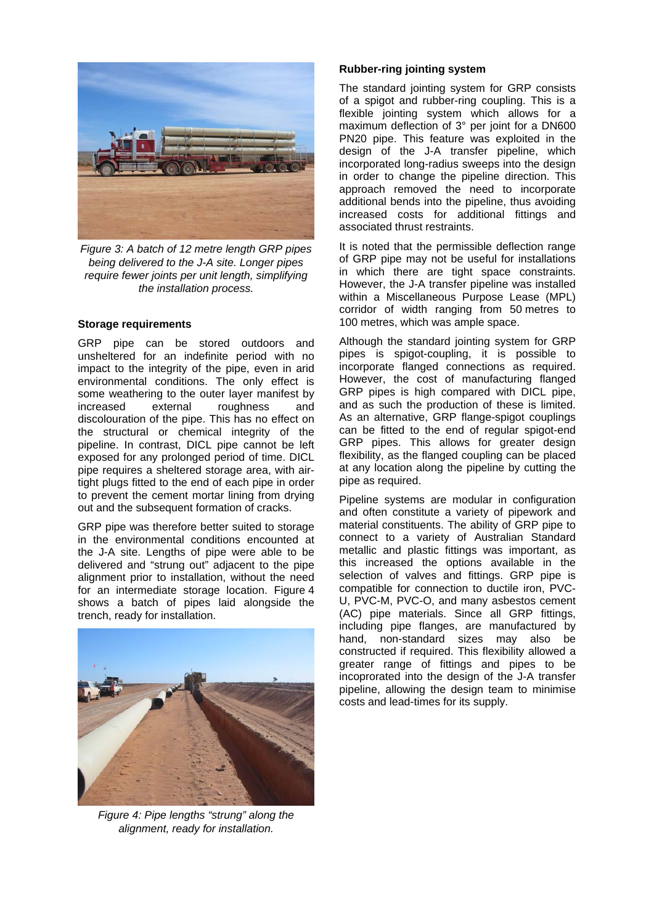

*Figure 3: A batch of 12 metre length GRP pipes being delivered to the J-A site. Longer pipes require fewer joints per unit length, simplifying the installation process.* 

### **Storage requirements**

GRP pipe can be stored outdoors and unsheltered for an indefinite period with no impact to the integrity of the pipe, even in arid environmental conditions. The only effect is some weathering to the outer layer manifest by increased external roughness and discolouration of the pipe. This has no effect on the structural or chemical integrity of the pipeline. In contrast, DICL pipe cannot be left exposed for any prolonged period of time. DICL pipe requires a sheltered storage area, with airtight plugs fitted to the end of each pipe in order to prevent the cement mortar lining from drying out and the subsequent formation of cracks.

GRP pipe was therefore better suited to storage in the environmental conditions encounted at the J-A site. Lengths of pipe were able to be delivered and "strung out" adjacent to the pipe alignment prior to installation, without the need for an intermediate storage location. Figure 4 shows a batch of pipes laid alongside the trench, ready for installation.



*Figure 4: Pipe lengths "strung" along the alignment, ready for installation.* 

### **Rubber-ring jointing system**

The standard jointing system for GRP consists of a spigot and rubber-ring coupling. This is a flexible jointing system which allows for a maximum deflection of 3° per joint for a DN600 PN20 pipe. This feature was exploited in the design of the J-A transfer pipeline, which incorporated long-radius sweeps into the design in order to change the pipeline direction. This approach removed the need to incorporate additional bends into the pipeline, thus avoiding increased costs for additional fittings and associated thrust restraints.

It is noted that the permissible deflection range of GRP pipe may not be useful for installations in which there are tight space constraints. However, the J-A transfer pipeline was installed within a Miscellaneous Purpose Lease (MPL) corridor of width ranging from 50 metres to 100 metres, which was ample space.

Although the standard jointing system for GRP pipes is spigot-coupling, it is possible to incorporate flanged connections as required. However, the cost of manufacturing flanged GRP pipes is high compared with DICL pipe, and as such the production of these is limited. As an alternative, GRP flange-spigot couplings can be fitted to the end of regular spigot-end GRP pipes. This allows for greater design flexibility, as the flanged coupling can be placed at any location along the pipeline by cutting the pipe as required.

Pipeline systems are modular in configuration and often constitute a variety of pipework and material constituents. The ability of GRP pipe to connect to a variety of Australian Standard metallic and plastic fittings was important, as this increased the options available in the selection of valves and fittings. GRP pipe is compatible for connection to ductile iron, PVC-U, PVC-M, PVC-O, and many asbestos cement (AC) pipe materials. Since all GRP fittings, including pipe flanges, are manufactured by hand, non-standard sizes may also be constructed if required. This flexibility allowed a greater range of fittings and pipes to be incoprorated into the design of the J-A transfer pipeline, allowing the design team to minimise costs and lead-times for its supply.